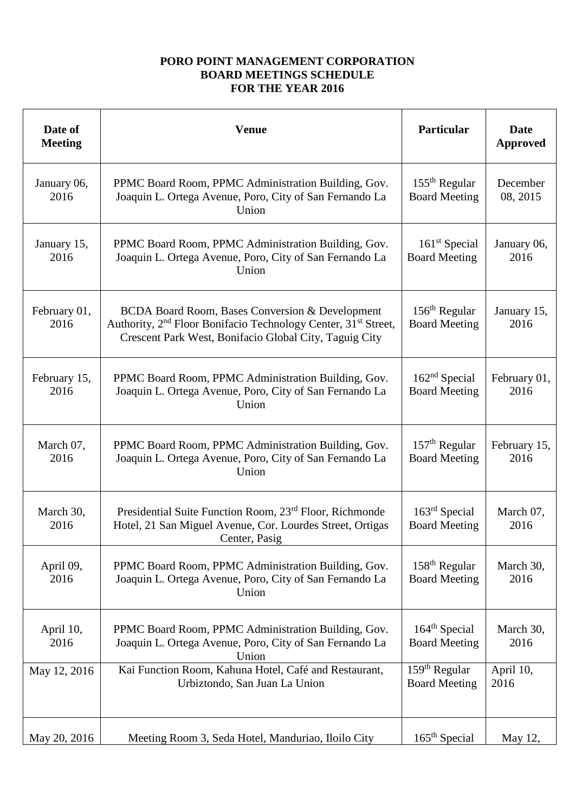## **PORO POINT MANAGEMENT CORPORATION BOARD MEETINGS SCHEDULE FOR THE YEAR 2016**

| Date of<br><b>Meeting</b> | <b>Venue</b>                                                                                                                                                                                        | Particular                                        | <b>Date</b><br><b>Approved</b> |
|---------------------------|-----------------------------------------------------------------------------------------------------------------------------------------------------------------------------------------------------|---------------------------------------------------|--------------------------------|
| January 06,<br>2016       | PPMC Board Room, PPMC Administration Building, Gov.<br>Joaquin L. Ortega Avenue, Poro, City of San Fernando La<br>Union                                                                             | $155th$ Regular<br><b>Board Meeting</b>           | December<br>08, 2015           |
| January 15,<br>2016       | PPMC Board Room, PPMC Administration Building, Gov.<br>Joaquin L. Ortega Avenue, Poro, City of San Fernando La<br>Union                                                                             | $161st$ Special<br><b>Board Meeting</b>           | January 06,<br>2016            |
| February 01,<br>2016      | BCDA Board Room, Bases Conversion & Development<br>Authority, 2 <sup>nd</sup> Floor Bonifacio Technology Center, 31 <sup>st</sup> Street,<br>Crescent Park West, Bonifacio Global City, Taguig City | $156th$ Regular<br><b>Board Meeting</b>           | January 15,<br>2016            |
| February 15,<br>2016      | PPMC Board Room, PPMC Administration Building, Gov.<br>Joaquin L. Ortega Avenue, Poro, City of San Fernando La<br>Union                                                                             | 162 <sup>nd</sup> Special<br><b>Board Meeting</b> | February 01,<br>2016           |
| March 07,<br>2016         | PPMC Board Room, PPMC Administration Building, Gov.<br>Joaquin L. Ortega Avenue, Poro, City of San Fernando La<br>Union                                                                             | $157th$ Regular<br><b>Board Meeting</b>           | February 15,<br>2016           |
| March 30,<br>2016         | Presidential Suite Function Room, 23 <sup>rd</sup> Floor, Richmonde<br>Hotel, 21 San Miguel Avenue, Cor. Lourdes Street, Ortigas<br>Center, Pasig                                                   | $163rd$ Special<br><b>Board Meeting</b>           | March 07,<br>2016              |
| April 09,<br>2016         | PPMC Board Room, PPMC Administration Building, Gov.<br>Joaquin L. Ortega Avenue, Poro, City of San Fernando La<br>Union                                                                             | $158th$ Regular<br><b>Board Meeting</b>           | March 30,<br>2016              |
| April 10,<br>2016         | PPMC Board Room, PPMC Administration Building, Gov.<br>Joaquin L. Ortega Avenue, Poro, City of San Fernando La<br>Union                                                                             | 164 <sup>th</sup> Special<br><b>Board Meeting</b> | March 30,<br>2016              |
| May 12, 2016              | Kai Function Room, Kahuna Hotel, Café and Restaurant,<br>Urbiztondo, San Juan La Union                                                                                                              | $159th$ Regular<br><b>Board Meeting</b>           | April 10,<br>2016              |
| May 20, 2016              | Meeting Room 3, Seda Hotel, Manduriao, Iloilo City                                                                                                                                                  | 165 <sup>th</sup> Special                         | May 12,                        |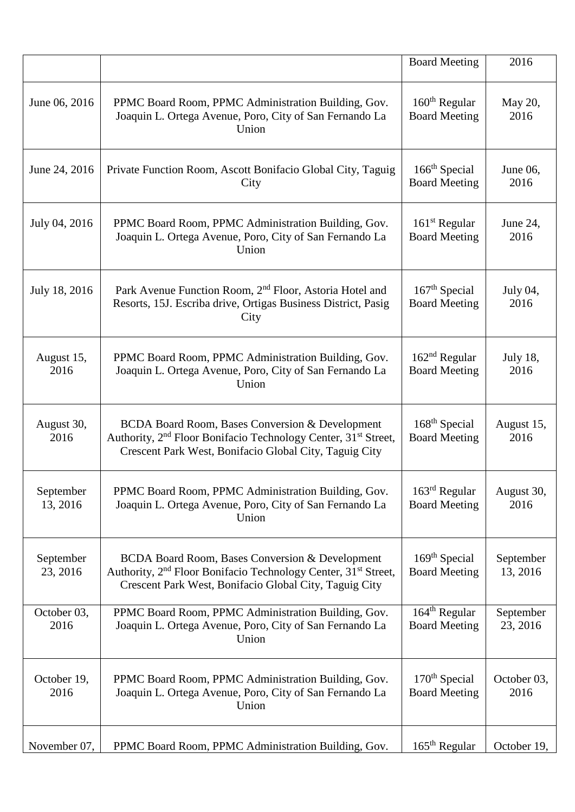|                       |                                                                                                                                                                                                                | <b>Board Meeting</b>                              | 2016                    |
|-----------------------|----------------------------------------------------------------------------------------------------------------------------------------------------------------------------------------------------------------|---------------------------------------------------|-------------------------|
| June 06, 2016         | PPMC Board Room, PPMC Administration Building, Gov.<br>Joaquin L. Ortega Avenue, Poro, City of San Fernando La<br>Union                                                                                        | $160th$ Regular<br><b>Board Meeting</b>           | May 20,<br>2016         |
| June 24, 2016         | Private Function Room, Ascott Bonifacio Global City, Taguig<br>City                                                                                                                                            | 166 <sup>th</sup> Special<br><b>Board Meeting</b> | June 06,<br>2016        |
| July 04, 2016         | PPMC Board Room, PPMC Administration Building, Gov.<br>Joaquin L. Ortega Avenue, Poro, City of San Fernando La<br>Union                                                                                        | $161st$ Regular<br><b>Board Meeting</b>           | June 24,<br>2016        |
| July 18, 2016         | Park Avenue Function Room, 2 <sup>nd</sup> Floor, Astoria Hotel and<br>Resorts, 15J. Escriba drive, Ortigas Business District, Pasig<br>City                                                                   | $167th$ Special<br><b>Board Meeting</b>           | July 04,<br>2016        |
| August 15,<br>2016    | PPMC Board Room, PPMC Administration Building, Gov.<br>Joaquin L. Ortega Avenue, Poro, City of San Fernando La<br>Union                                                                                        | $162nd$ Regular<br><b>Board Meeting</b>           | <b>July 18,</b><br>2016 |
| August 30,<br>2016    | <b>BCDA Board Room, Bases Conversion &amp; Development</b><br>Authority, 2 <sup>nd</sup> Floor Bonifacio Technology Center, 31 <sup>st</sup> Street,<br>Crescent Park West, Bonifacio Global City, Taguig City | 168 <sup>th</sup> Special<br><b>Board Meeting</b> | August 15,<br>2016      |
| September<br>13, 2016 | PPMC Board Room, PPMC Administration Building, Gov.<br>Joaquin L. Ortega Avenue, Poro, City of San Fernando La<br>Union                                                                                        | $163rd$ Regular<br><b>Board Meeting</b>           | August 30,<br>2016      |
| September<br>23, 2016 | BCDA Board Room, Bases Conversion & Development<br>Authority, 2 <sup>nd</sup> Floor Bonifacio Technology Center, 31 <sup>st</sup> Street,<br>Crescent Park West, Bonifacio Global City, Taguig City            | 169 <sup>th</sup> Special<br><b>Board Meeting</b> | September<br>13, 2016   |
| October 03,<br>2016   | PPMC Board Room, PPMC Administration Building, Gov.<br>Joaquin L. Ortega Avenue, Poro, City of San Fernando La<br>Union                                                                                        | $164th$ Regular<br><b>Board Meeting</b>           | September<br>23, 2016   |
| October 19,<br>2016   | PPMC Board Room, PPMC Administration Building, Gov.<br>Joaquin L. Ortega Avenue, Poro, City of San Fernando La<br>Union                                                                                        | $170th$ Special<br><b>Board Meeting</b>           | October 03,<br>2016     |
| November 07,          | PPMC Board Room, PPMC Administration Building, Gov.                                                                                                                                                            | $165th$ Regular                                   | October 19,             |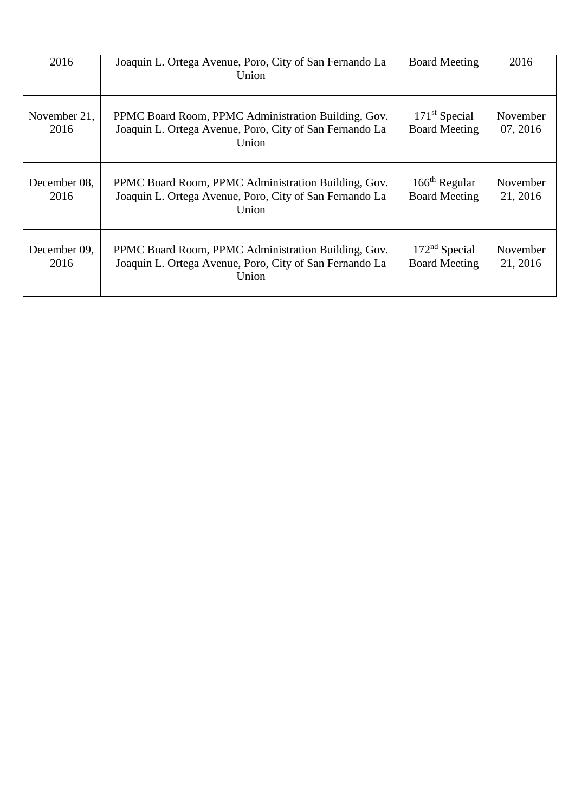| 2016                 | Joaquin L. Ortega Avenue, Poro, City of San Fernando La<br>Union                                                        | <b>Board Meeting</b>                              | 2016                 |
|----------------------|-------------------------------------------------------------------------------------------------------------------------|---------------------------------------------------|----------------------|
| November 21,<br>2016 | PPMC Board Room, PPMC Administration Building, Gov.<br>Joaquin L. Ortega Avenue, Poro, City of San Fernando La<br>Union | $171st$ Special<br><b>Board Meeting</b>           | November<br>07, 2016 |
| December 08,<br>2016 | PPMC Board Room, PPMC Administration Building, Gov.<br>Joaquin L. Ortega Avenue, Poro, City of San Fernando La<br>Union | $166th$ Regular<br><b>Board Meeting</b>           | November<br>21, 2016 |
| December 09,<br>2016 | PPMC Board Room, PPMC Administration Building, Gov.<br>Joaquin L. Ortega Avenue, Poro, City of San Fernando La<br>Union | 172 <sup>nd</sup> Special<br><b>Board Meeting</b> | November<br>21, 2016 |